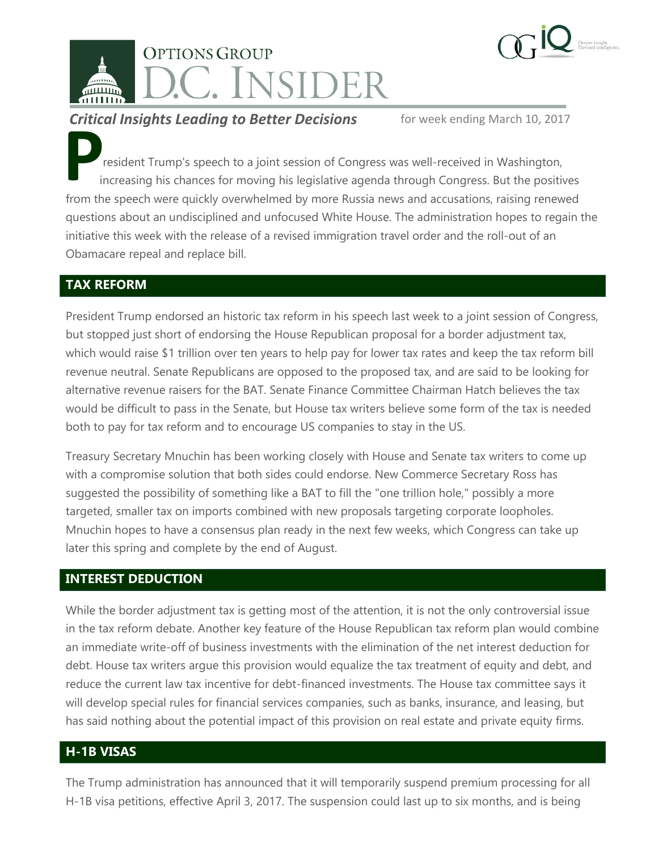



### **Critical Insights Leading to Better Decisions** for week ending March 10, 2017

resident Trump's speech to a joint session of Congress was well-received in Washington, increasing his chances for moving his legislative agenda through Congress. But the positives from the speech were quickly overwhelmed by more Russia news and accusations, raising renewed questions about an undisciplined and unfocused White House. The administration hopes to regain the initiative this week with the release of a revised immigration travel order and the roll-out of an Obamacare repeal and replace bill. **P**<br>from th

# **TAX REFORM**

President Trump endorsed an historic tax reform in his speech last week to a joint session of Congress, but stopped just short of endorsing the House Republican proposal for a border adjustment tax, which would raise \$1 trillion over ten years to help pay for lower tax rates and keep the tax reform bill revenue neutral. Senate Republicans are opposed to the proposed tax, and are said to be looking for alternative revenue raisers for the BAT. Senate Finance Committee Chairman Hatch believes the tax would be difficult to pass in the Senate, but House tax writers believe some form of the tax is needed both to pay for tax reform and to encourage US companies to stay in the US.

Treasury Secretary Mnuchin has been working closely with House and Senate tax writers to come up with a compromise solution that both sides could endorse. New Commerce Secretary Ross has suggested the possibility of something like a BAT to fill the "one trillion hole," possibly a more targeted, smaller tax on imports combined with new proposals targeting corporate loopholes. Mnuchin hopes to have a consensus plan ready in the next few weeks, which Congress can take up later this spring and complete by the end of August.

#### **INTEREST DEDUCTION**

While the border adjustment tax is getting most of the attention, it is not the only controversial issue in the tax reform debate. Another key feature of the House Republican tax reform plan would combine an immediate write-off of business investments with the elimination of the net interest deduction for debt. House tax writers argue this provision would equalize the tax treatment of equity and debt, and reduce the current law tax incentive for debt-financed investments. The House tax committee says it will develop special rules for financial services companies, such as banks, insurance, and leasing, but has said nothing about the potential impact of this provision on real estate and private equity firms.

#### **H-1B VISAS**

The Trump administration has announced that it will temporarily suspend premium processing for all H-1B visa petitions, effective April 3, 2017. The suspension could last up to six months, and is being